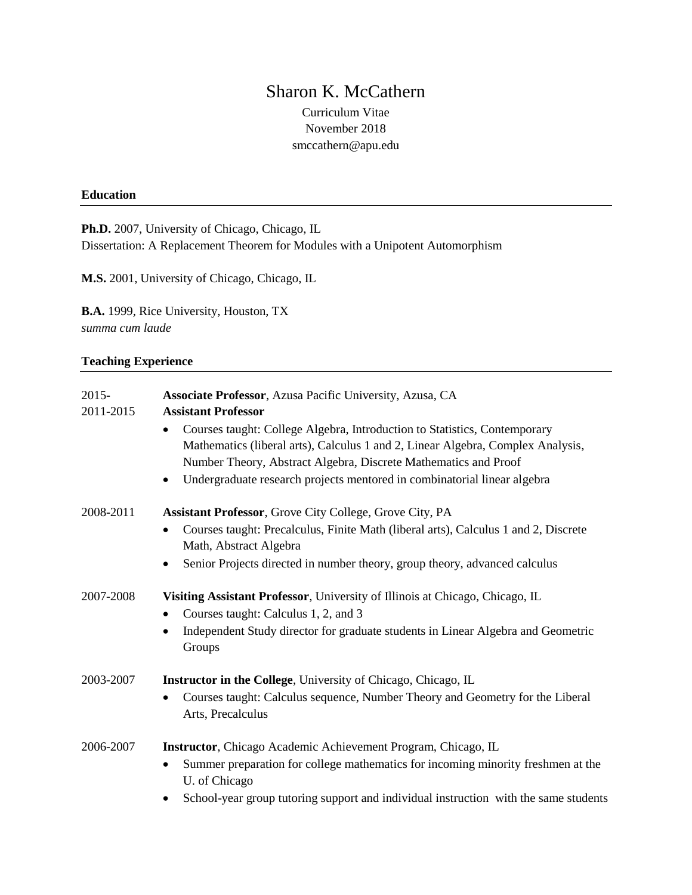# Sharon K. McCathern

Curriculum Vitae November 2018 smccathern@apu.edu

# **Education**

**Ph.D.** 2007, University of Chicago, Chicago, IL Dissertation: A Replacement Theorem for Modules with a Unipotent Automorphism

**M.S.** 2001, University of Chicago, Chicago, IL

**B.A.** 1999, Rice University, Houston, TX *summa cum laude*

## **Teaching Experience**

| $2015 -$<br>2011-2015 | Associate Professor, Azusa Pacific University, Azusa, CA<br><b>Assistant Professor</b><br>Courses taught: College Algebra, Introduction to Statistics, Contemporary<br>$\bullet$<br>Mathematics (liberal arts), Calculus 1 and 2, Linear Algebra, Complex Analysis,<br>Number Theory, Abstract Algebra, Discrete Mathematics and Proof |
|-----------------------|----------------------------------------------------------------------------------------------------------------------------------------------------------------------------------------------------------------------------------------------------------------------------------------------------------------------------------------|
|                       | Undergraduate research projects mentored in combinatorial linear algebra<br>$\bullet$                                                                                                                                                                                                                                                  |
| 2008-2011             | Assistant Professor, Grove City College, Grove City, PA<br>Courses taught: Precalculus, Finite Math (liberal arts), Calculus 1 and 2, Discrete<br>Math, Abstract Algebra<br>Senior Projects directed in number theory, group theory, advanced calculus                                                                                 |
| 2007-2008             | Visiting Assistant Professor, University of Illinois at Chicago, Chicago, IL<br>Courses taught: Calculus 1, 2, and 3<br>٠<br>Independent Study director for graduate students in Linear Algebra and Geometric<br>$\bullet$<br>Groups                                                                                                   |
| 2003-2007             | <b>Instructor in the College</b> , University of Chicago, Chicago, IL<br>Courses taught: Calculus sequence, Number Theory and Geometry for the Liberal<br>$\bullet$<br>Arts, Precalculus                                                                                                                                               |
| 2006-2007             | Instructor, Chicago Academic Achievement Program, Chicago, IL<br>Summer preparation for college mathematics for incoming minority freshmen at the<br>$\bullet$<br>U. of Chicago<br>School-year group tutoring support and individual instruction with the same students                                                                |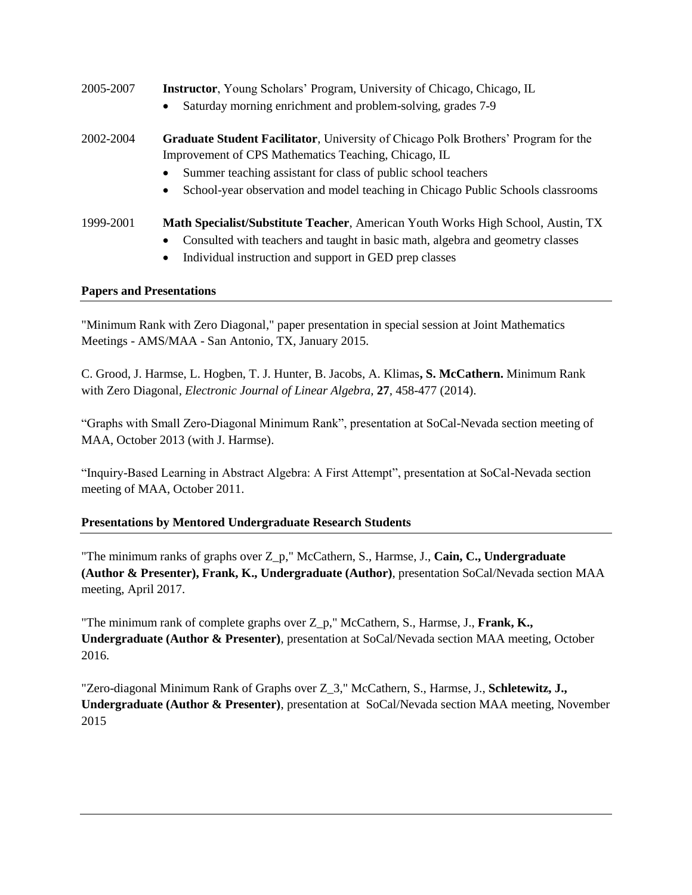| 2005-2007 | <b>Instructor</b> , Young Scholars' Program, University of Chicago, Chicago, IL<br>Saturday morning enrichment and problem-solving, grades 7-9<br>$\bullet$                                                                                                                                                                                                                                                                                                                                                           |
|-----------|-----------------------------------------------------------------------------------------------------------------------------------------------------------------------------------------------------------------------------------------------------------------------------------------------------------------------------------------------------------------------------------------------------------------------------------------------------------------------------------------------------------------------|
| 2002-2004 | <b>Graduate Student Facilitator, University of Chicago Polk Brothers' Program for the</b>                                                                                                                                                                                                                                                                                                                                                                                                                             |
|           | Improvement of CPS Mathematics Teaching, Chicago, IL<br>Summer teaching assistant for class of public school teachers<br>$\bullet$                                                                                                                                                                                                                                                                                                                                                                                    |
|           | School-year observation and model teaching in Chicago Public Schools classrooms<br>$\bullet$                                                                                                                                                                                                                                                                                                                                                                                                                          |
| 1999-2001 | Math Specialist/Substitute Teacher, American Youth Works High School, Austin, TX<br>Consulted with teachers and taught in basic math, algebra and geometry classes<br>$\bullet$<br>$\mathbf{I}$ $\mathbf{I}$ $\mathbf{I}$ $\mathbf{I}$ $\mathbf{I}$ $\mathbf{I}$ $\mathbf{I}$ $\mathbf{I}$ $\mathbf{I}$ $\mathbf{I}$ $\mathbf{I}$ $\mathbf{I}$ $\mathbf{I}$ $\mathbf{I}$ $\mathbf{I}$ $\mathbf{I}$ $\mathbf{I}$ $\mathbf{I}$ $\mathbf{I}$ $\mathbf{I}$ $\mathbf{I}$ $\mathbf{I}$ $\mathbf{I}$ $\mathbf{I}$ $\mathbf{$ |

Individual instruction and support in GED prep classes

# **Papers and Presentations**

"Minimum Rank with Zero Diagonal," paper presentation in special session at Joint Mathematics Meetings - AMS/MAA - San Antonio, TX, January 2015.

C. Grood, J. Harmse, L. Hogben, T. J. Hunter, B. Jacobs, A. Klimas**, S. McCathern.** Minimum Rank with Zero Diagonal*, Electronic Journal of Linear Algebra,* **27***,* 458-477 (2014).

"Graphs with Small Zero-Diagonal Minimum Rank", presentation at SoCal-Nevada section meeting of MAA, October 2013 (with J. Harmse).

"Inquiry-Based Learning in Abstract Algebra: A First Attempt", presentation at SoCal-Nevada section meeting of MAA, October 2011.

# **Presentations by Mentored Undergraduate Research Students**

"The minimum ranks of graphs over Z\_p," McCathern, S., Harmse, J., **Cain, C., Undergraduate (Author & Presenter), Frank, K., Undergraduate (Author)**, presentation SoCal/Nevada section MAA meeting, April 2017.

"The minimum rank of complete graphs over Z\_p," McCathern, S., Harmse, J., **Frank, K., Undergraduate (Author & Presenter)**, presentation at SoCal/Nevada section MAA meeting, October 2016.

"Zero-diagonal Minimum Rank of Graphs over Z\_3," McCathern, S., Harmse, J., **Schletewitz, J., Undergraduate (Author & Presenter)**, presentation at SoCal/Nevada section MAA meeting, November 2015